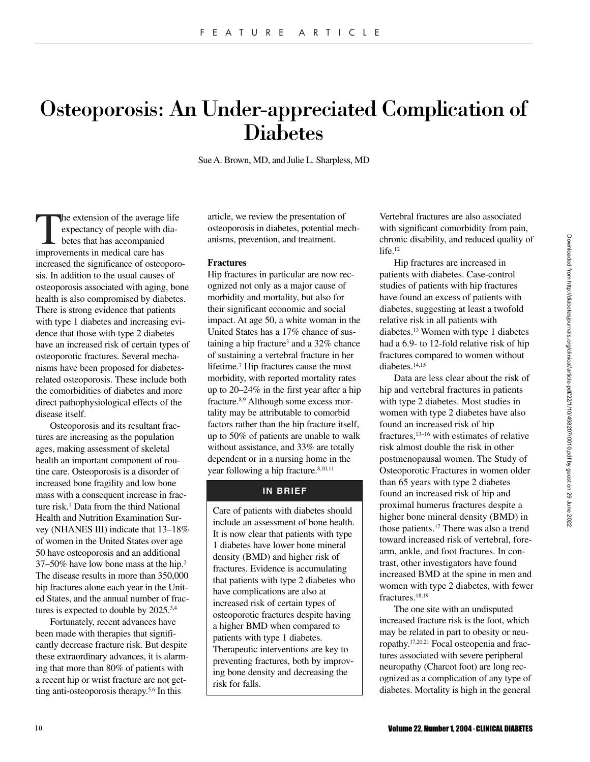# Osteoporosis: An Under-appreciated Complication of Diabetes

Sue A. Brown, MD, and Julie L. Sharpless, MD

The extension of the average life<br>expectancy of people with dia-<br>betes that has accompanied<br>improvements in medical care has expectancy of people with diabetes that has accompanied improvements in medical care has increased the significance of osteoporosis. In addition to the usual causes of osteoporosis associated with aging, bone health is also compromised by diabetes. There is strong evidence that patients with type 1 diabetes and increasing evidence that those with type 2 diabetes have an increased risk of certain types of osteoporotic fractures. Several mechanisms have been proposed for diabetesrelated osteoporosis. These include both the comorbidities of diabetes and more direct pathophysiological effects of the disease itself.

Osteoporosis and its resultant fractures are increasing as the population ages, making assessment of skeletal health an important component of routine care. Osteoporosis is a disorder of increased bone fragility and low bone mass with a consequent increase in fracture risk.<sup>1</sup> Data from the third National Health and Nutrition Examination Survey (NHANES III) indicate that 13–18% of women in the United States over age 50 have osteoporosis and an additional 37–50% have low bone mass at the hip.2 The disease results in more than 350,000 hip fractures alone each year in the United States, and the annual number of fractures is expected to double by 2025.<sup>3,4</sup>

Fortunately, recent advances have been made with therapies that significantly decrease fracture risk. But despite these extraordinary advances, it is alarming that more than 80% of patients with a recent hip or wrist fracture are not getting anti-osteoporosis therapy.5,6 In this

article, we review the presentation of osteoporosis in diabetes, potential mechanisms, prevention, and treatment.

## **Fractures**

Hip fractures in particular are now recognized not only as a major cause of morbidity and mortality, but also for their significant economic and social impact. At age 50, a white woman in the United States has a 17% chance of sustaining a hip fracture<sup>3</sup> and a  $32\%$  chance of sustaining a vertebral fracture in her lifetime.7 Hip fractures cause the most morbidity, with reported mortality rates up to 20–24% in the first year after a hip fracture.8,9 Although some excess mortality may be attributable to comorbid factors rather than the hip fracture itself, up to 50% of patients are unable to walk without assistance, and 33% are totally dependent or in a nursing home in the year following a hip fracture.<sup>8,10,11</sup>

# **IN BRIEF**

Care of patients with diabetes should include an assessment of bone health. It is now clear that patients with type 1 diabetes have lower bone mineral density (BMD) and higher risk of fractures. Evidence is accumulating that patients with type 2 diabetes who have complications are also at increased risk of certain types of osteoporotic fractures despite having a higher BMD when compared to patients with type 1 diabetes. Therapeutic interventions are key to preventing fractures, both by improving bone density and decreasing the risk for falls.

Vertebral fractures are also associated with significant comorbidity from pain, chronic disability, and reduced quality of life.<sup>12</sup>

Hip fractures are increased in patients with diabetes. Case-control studies of patients with hip fractures have found an excess of patients with diabetes, suggesting at least a twofold relative risk in all patients with diabetes.13 Women with type 1 diabetes had a 6.9- to 12-fold relative risk of hip fractures compared to women without diabetes.14,15

Data are less clear about the risk of hip and vertebral fractures in patients with type 2 diabetes. Most studies in women with type 2 diabetes have also found an increased risk of hip fractures,13–16 with estimates of relative risk almost double the risk in other postmenopausal women. The Study of Osteoporotic Fractures in women older than 65 years with type 2 diabetes found an increased risk of hip and proximal humerus fractures despite a higher bone mineral density (BMD) in those patients.17 There was also a trend toward increased risk of vertebral, forearm, ankle, and foot fractures. In contrast, other investigators have found increased BMD at the spine in men and women with type 2 diabetes, with fewer fractures.<sup>18,19</sup>

The one site with an undisputed increased fracture risk is the foot, which may be related in part to obesity or neuropathy.17,20,21 Focal osteopenia and fractures associated with severe peripheral neuropathy (Charcot foot) are long recognized as a complication of any type of diabetes. Mortality is high in the general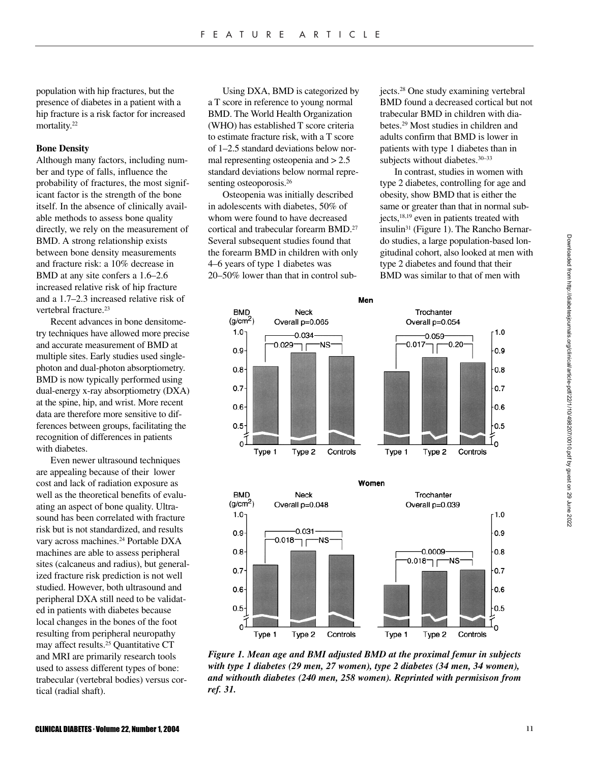population with hip fractures, but the presence of diabetes in a patient with a hip fracture is a risk factor for increased mortality.<sup>22</sup>

## **Bone Density**

Although many factors, including number and type of falls, influence the probability of fractures, the most significant factor is the strength of the bone itself. In the absence of clinically available methods to assess bone quality directly, we rely on the measurement of BMD. A strong relationship exists between bone density measurements and fracture risk: a 10% decrease in BMD at any site confers a 1.6–2.6 increased relative risk of hip fracture and a 1.7–2.3 increased relative risk of vertebral fracture.<sup>23</sup>

Recent advances in bone densitometry techniques have allowed more precise and accurate measurement of BMD at multiple sites. Early studies used singlephoton and dual-photon absorptiometry. BMD is now typically performed using dual-energy x-ray absorptiometry (DXA) at the spine, hip, and wrist. More recent data are therefore more sensitive to differences between groups, facilitating the recognition of differences in patients with diabetes.

Even newer ultrasound techniques are appealing because of their lower cost and lack of radiation exposure as well as the theoretical benefits of evaluating an aspect of bone quality. Ultrasound has been correlated with fracture risk but is not standardized, and results vary across machines.<sup>24</sup> Portable DXA machines are able to assess peripheral sites (calcaneus and radius), but generalized fracture risk prediction is not well studied. However, both ultrasound and peripheral DXA still need to be validated in patients with diabetes because local changes in the bones of the foot resulting from peripheral neuropathy may affect results.25 Quantitative CT and MRI are primarily research tools used to assess different types of bone: trabecular (vertebral bodies) versus cortical (radial shaft).

Using DXA, BMD is categorized by a T score in reference to young normal BMD. The World Health Organization (WHO) has established T score criteria to estimate fracture risk, with a T score of 1–2.5 standard deviations below normal representing osteopenia and  $> 2.5$ standard deviations below normal representing osteoporosis.<sup>26</sup>

Osteopenia was initially described in adolescents with diabetes, 50% of whom were found to have decreased cortical and trabecular forearm BMD.27 Several subsequent studies found that the forearm BMD in children with only 4–6 years of type 1 diabetes was 20–50% lower than that in control subjects.28 One study examining vertebral BMD found a decreased cortical but not trabecular BMD in children with diabetes.29 Most studies in children and adults confirm that BMD is lower in patients with type 1 diabetes than in subjects without diabetes.<sup>30-33</sup>

In contrast, studies in women with type 2 diabetes, controlling for age and obesity, show BMD that is either the same or greater than that in normal subjects,<sup>18,19</sup> even in patients treated with insulin31 (Figure 1). The Rancho Bernardo studies, a large population-based longitudinal cohort, also looked at men with type 2 diabetes and found that their BMD was similar to that of men with

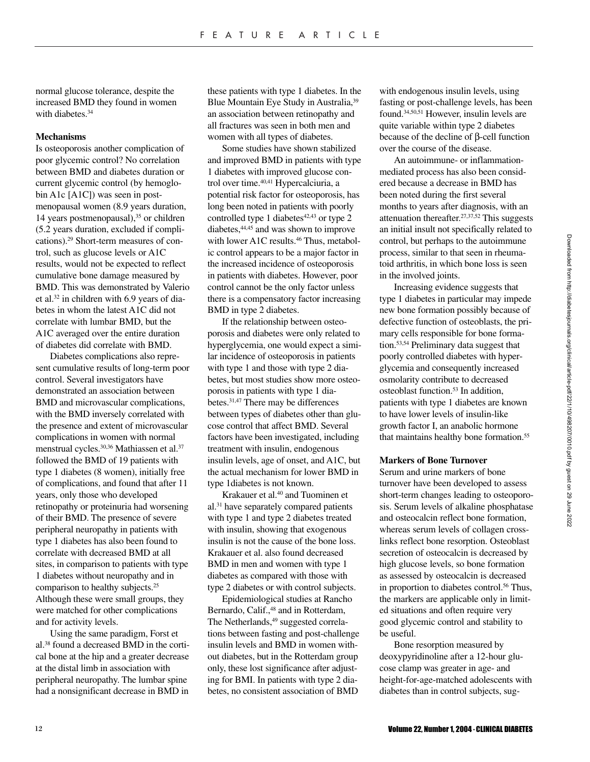normal glucose tolerance, despite the increased BMD they found in women with diabetes.<sup>34</sup>

## **Mechanisms**

Is osteoporosis another complication of poor glycemic control? No correlation between BMD and diabetes duration or current glycemic control (by hemoglobin A1c [A1C]) was seen in postmenopausal women (8.9 years duration, 14 years postmenopausal),<sup>35</sup> or children (5.2 years duration, excluded if complications).29 Short-term measures of control, such as glucose levels or A1C results, would not be expected to reflect cumulative bone damage measured by BMD. This was demonstrated by Valerio et al.32 in children with 6.9 years of diabetes in whom the latest A1C did not correlate with lumbar BMD, but the A1C averaged over the entire duration of diabetes did correlate with BMD.

Diabetes complications also represent cumulative results of long-term poor control. Several investigators have demonstrated an association between BMD and microvascular complications, with the BMD inversely correlated with the presence and extent of microvascular complications in women with normal menstrual cycles.<sup>30,36</sup> Mathiassen et al.<sup>37</sup> followed the BMD of 19 patients with type 1 diabetes (8 women), initially free of complications, and found that after 11 years, only those who developed retinopathy or proteinuria had worsening of their BMD. The presence of severe peripheral neuropathy in patients with type 1 diabetes has also been found to correlate with decreased BMD at all sites, in comparison to patients with type 1 diabetes without neuropathy and in comparison to healthy subjects.25 Although these were small groups, they were matched for other complications and for activity levels.

Using the same paradigm, Forst et al.38 found a decreased BMD in the cortical bone at the hip and a greater decrease at the distal limb in association with peripheral neuropathy. The lumbar spine had a nonsignificant decrease in BMD in

these patients with type 1 diabetes. In the Blue Mountain Eye Study in Australia,<sup>39</sup> an association between retinopathy and all fractures was seen in both men and women with all types of diabetes.

Some studies have shown stabilized and improved BMD in patients with type 1 diabetes with improved glucose control over time.<sup>40,41</sup> Hypercalciuria, a potential risk factor for osteoporosis, has long been noted in patients with poorly controlled type 1 diabetes $42,43$  or type 2 diabetes,44,45 and was shown to improve with lower A1C results.<sup>46</sup> Thus, metabolic control appears to be a major factor in the increased incidence of osteoporosis in patients with diabetes. However, poor control cannot be the only factor unless there is a compensatory factor increasing BMD in type 2 diabetes.

If the relationship between osteoporosis and diabetes were only related to hyperglycemia, one would expect a similar incidence of osteoporosis in patients with type 1 and those with type 2 diabetes, but most studies show more osteoporosis in patients with type 1 diabetes.31,47 There may be differences between types of diabetes other than glucose control that affect BMD. Several factors have been investigated, including treatment with insulin, endogenous insulin levels, age of onset, and A1C, but the actual mechanism for lower BMD in type 1diabetes is not known.

Krakauer et al.40 and Tuominen et al.31 have separately compared patients with type 1 and type 2 diabetes treated with insulin, showing that exogenous insulin is not the cause of the bone loss. Krakauer et al. also found decreased BMD in men and women with type 1 diabetes as compared with those with type 2 diabetes or with control subjects.

Epidemiological studies at Rancho Bernardo, Calif.,<sup>48</sup> and in Rotterdam, The Netherlands,<sup>49</sup> suggested correlations between fasting and post-challenge insulin levels and BMD in women without diabetes, but in the Rotterdam group only, these lost significance after adjusting for BMI. In patients with type 2 diabetes, no consistent association of BMD

with endogenous insulin levels, using fasting or post-challenge levels, has been found.34,50,51 However, insulin levels are quite variable within type 2 diabetes because of the decline of β-cell function over the course of the disease.

An autoimmune- or inflammationmediated process has also been considered because a decrease in BMD has been noted during the first several months to years after diagnosis, with an attenuation thereafter.27,37,52 This suggests an initial insult not specifically related to control, but perhaps to the autoimmune process, similar to that seen in rheumatoid arthritis, in which bone loss is seen in the involved joints.

Increasing evidence suggests that type 1 diabetes in particular may impede new bone formation possibly because of defective function of osteoblasts, the primary cells responsible for bone formation.53,54 Preliminary data suggest that poorly controlled diabetes with hyperglycemia and consequently increased osmolarity contribute to decreased osteoblast function.53 In addition, patients with type 1 diabetes are known to have lower levels of insulin-like growth factor I, an anabolic hormone that maintains healthy bone formation.55

# **Markers of Bone Turnover**

Serum and urine markers of bone turnover have been developed to assess short-term changes leading to osteoporosis. Serum levels of alkaline phosphatase and osteocalcin reflect bone formation, whereas serum levels of collagen crosslinks reflect bone resorption. Osteoblast secretion of osteocalcin is decreased by high glucose levels, so bone formation as assessed by osteocalcin is decreased in proportion to diabetes control.<sup>56</sup> Thus, the markers are applicable only in limited situations and often require very good glycemic control and stability to be useful.

Bone resorption measured by deoxypyridinoline after a 12-hour glucose clamp was greater in age- and height-for-age-matched adolescents with diabetes than in control subjects, sug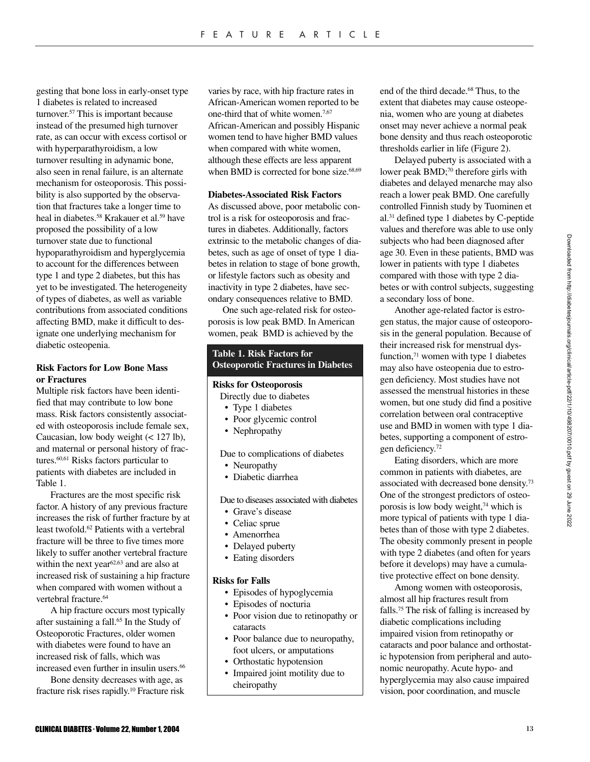gesting that bone loss in early-onset type 1 diabetes is related to increased turnover.57 This is important because instead of the presumed high turnover rate, as can occur with excess cortisol or with hyperparathyroidism, a low turnover resulting in adynamic bone, also seen in renal failure, is an alternate mechanism for osteoporosis. This possibility is also supported by the observation that fractures take a longer time to heal in diabetes.<sup>58</sup> Krakauer et al.<sup>59</sup> have proposed the possibility of a low turnover state due to functional hypoparathyroidism and hyperglycemia to account for the differences between type 1 and type 2 diabetes, but this has yet to be investigated. The heterogeneity of types of diabetes, as well as variable contributions from associated conditions affecting BMD, make it difficult to designate one underlying mechanism for diabetic osteopenia.

# **Risk Factors for Low Bone Mass or Fractures**

Multiple risk factors have been identified that may contribute to low bone mass. Risk factors consistently associated with osteoporosis include female sex, Caucasian, low body weight (< 127 lb), and maternal or personal history of fractures.60,61 Risks factors particular to patients with diabetes are included in Table 1.

Fractures are the most specific risk factor. A history of any previous fracture increases the risk of further fracture by at least twofold.<sup>62</sup> Patients with a vertebral fracture will be three to five times more likely to suffer another vertebral fracture within the next year<sup>62,63</sup> and are also at increased risk of sustaining a hip fracture when compared with women without a vertebral fracture.<sup>64</sup>

A hip fracture occurs most typically after sustaining a fall.65 In the Study of Osteoporotic Fractures, older women with diabetes were found to have an increased risk of falls, which was increased even further in insulin users.<sup>66</sup>

Bone density decreases with age, as fracture risk rises rapidly.10 Fracture risk varies by race, with hip fracture rates in African-American women reported to be one-third that of white women.<sup>7,67</sup> African-American and possibly Hispanic women tend to have higher BMD values when compared with white women, although these effects are less apparent when BMD is corrected for bone size. $68,69$ 

## **Diabetes-Associated Risk Factors**

As discussed above, poor metabolic control is a risk for osteoporosis and fractures in diabetes. Additionally, factors extrinsic to the metabolic changes of diabetes, such as age of onset of type 1 diabetes in relation to stage of bone growth, or lifestyle factors such as obesity and inactivity in type 2 diabetes, have secondary consequences relative to BMD.

One such age-related risk for osteoporosis is low peak BMD. In American women, peak BMD is achieved by the

# **Table 1. Risk Factors for Osteoporotic Fractures in Diabetes**

### **Risks for Osteoporosis**

- Directly due to diabetes
- Type 1 diabetes
- Poor glycemic control
- Nephropathy

Due to complications of diabetes

- Neuropathy
- Diabetic diarrhea

Due to diseases associated with diabetes

- Grave's disease
- Celiac sprue
- Amenorrhea
- Delayed puberty
- Eating disorders

# **Risks for Falls**

- Episodes of hypoglycemia
- Episodes of nocturia
- Poor vision due to retinopathy or cataracts
- Poor balance due to neuropathy, foot ulcers, or amputations
- Orthostatic hypotension
- Impaired joint motility due to cheiropathy

end of the third decade.68 Thus, to the extent that diabetes may cause osteopenia, women who are young at diabetes onset may never achieve a normal peak bone density and thus reach osteoporotic thresholds earlier in life (Figure 2).

Delayed puberty is associated with a lower peak BMD;<sup>70</sup> therefore girls with diabetes and delayed menarche may also reach a lower peak BMD. One carefully controlled Finnish study by Tuominen et al.31 defined type 1 diabetes by C-peptide values and therefore was able to use only subjects who had been diagnosed after age 30. Even in these patients, BMD was lower in patients with type 1 diabetes compared with those with type 2 diabetes or with control subjects, suggesting a secondary loss of bone.

Another age-related factor is estrogen status, the major cause of osteoporosis in the general population. Because of their increased risk for menstrual dysfunction,<sup>71</sup> women with type 1 diabetes may also have osteopenia due to estrogen deficiency. Most studies have not assessed the menstrual histories in these women, but one study did find a positive correlation between oral contraceptive use and BMD in women with type 1 diabetes, supporting a component of estrogen deficiency.72

Eating disorders, which are more common in patients with diabetes, are associated with decreased bone density.73 One of the strongest predictors of osteoporosis is low body weight,74 which is more typical of patients with type 1 diabetes than of those with type 2 diabetes. The obesity commonly present in people with type 2 diabetes (and often for years before it develops) may have a cumulative protective effect on bone density.

Among women with osteoporosis, almost all hip fractures result from falls.75 The risk of falling is increased by diabetic complications including impaired vision from retinopathy or cataracts and poor balance and orthostatic hypotension from peripheral and autonomic neuropathy. Acute hypo- and hyperglycemia may also cause impaired vision, poor coordination, and muscle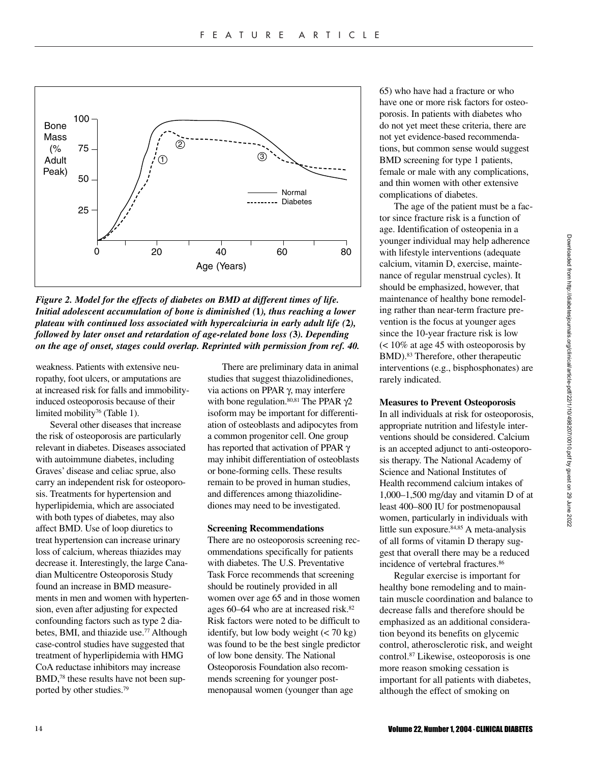

*Figure 2. Model for the effects of diabetes on BMD at different times of life. Initial adolescent accumulation of bone is diminished (***1***), thus reaching a lower plateau with continued loss associated with hypercalciuria in early adult life (***2***), followed by later onset and retardation of age-related bone loss (***3***). Depending on the age of onset, stages could overlap. Reprinted with permission from ref. 40.* 

weakness. Patients with extensive neuropathy, foot ulcers, or amputations are at increased risk for falls and immobilityinduced osteoporosis because of their limited mobility<sup>76</sup> (Table 1).

Several other diseases that increase the risk of osteoporosis are particularly relevant in diabetes. Diseases associated with autoimmune diabetes, including Graves' disease and celiac sprue, also carry an independent risk for osteoporosis. Treatments for hypertension and hyperlipidemia, which are associated with both types of diabetes, may also affect BMD. Use of loop diuretics to treat hypertension can increase urinary loss of calcium, whereas thiazides may decrease it. Interestingly, the large Canadian Multicentre Osteoporosis Study found an increase in BMD measurements in men and women with hypertension, even after adjusting for expected confounding factors such as type 2 diabetes, BMI, and thiazide use.<sup>77</sup> Although case-control studies have suggested that treatment of hyperlipidemia with HMG CoA reductase inhibitors may increase BMD,<sup>78</sup> these results have not been supported by other studies.79

There are preliminary data in animal studies that suggest thiazolidinediones, via actions on PPAR γ, may interfere with bone regulation.<sup>80,81</sup> The PPAR  $\gamma$ 2 isoform may be important for differentiation of osteoblasts and adipocytes from a common progenitor cell. One group has reported that activation of PPAR γ may inhibit differentiation of osteoblasts or bone-forming cells. These results remain to be proved in human studies, and differences among thiazolidinediones may need to be investigated.

# **Screening Recommendations**

There are no osteoporosis screening recommendations specifically for patients with diabetes. The U.S. Preventative Task Force recommends that screening should be routinely provided in all women over age 65 and in those women ages 60–64 who are at increased risk.82 Risk factors were noted to be difficult to identify, but low body weight  $(< 70 \text{ kg})$ was found to be the best single predictor of low bone density. The National Osteoporosis Foundation also recommends screening for younger postmenopausal women (younger than age

65) who have had a fracture or who have one or more risk factors for osteoporosis. In patients with diabetes who do not yet meet these criteria, there are not yet evidence-based recommendations, but common sense would suggest BMD screening for type 1 patients, female or male with any complications, and thin women with other extensive complications of diabetes.

The age of the patient must be a factor since fracture risk is a function of age. Identification of osteopenia in a younger individual may help adherence with lifestyle interventions (adequate calcium, vitamin D, exercise, maintenance of regular menstrual cycles). It should be emphasized, however, that maintenance of healthy bone remodeling rather than near-term fracture prevention is the focus at younger ages since the 10-year fracture risk is low (< 10% at age 45 with osteoporosis by BMD).83 Therefore, other therapeutic interventions (e.g., bisphosphonates) are rarely indicated.

#### **Measures to Prevent Osteoporosis**

In all individuals at risk for osteoporosis, appropriate nutrition and lifestyle interventions should be considered. Calcium is an accepted adjunct to anti-osteoporosis therapy. The National Academy of Science and National Institutes of Health recommend calcium intakes of 1,000–1,500 mg/day and vitamin D of at least 400–800 IU for postmenopausal women, particularly in individuals with little sun exposure.84,85 A meta-analysis of all forms of vitamin D therapy suggest that overall there may be a reduced incidence of vertebral fractures.<sup>86</sup>

Regular exercise is important for healthy bone remodeling and to maintain muscle coordination and balance to decrease falls and therefore should be emphasized as an additional consideration beyond its benefits on glycemic control, atherosclerotic risk, and weight control.87 Likewise, osteoporosis is one more reason smoking cessation is important for all patients with diabetes, although the effect of smoking on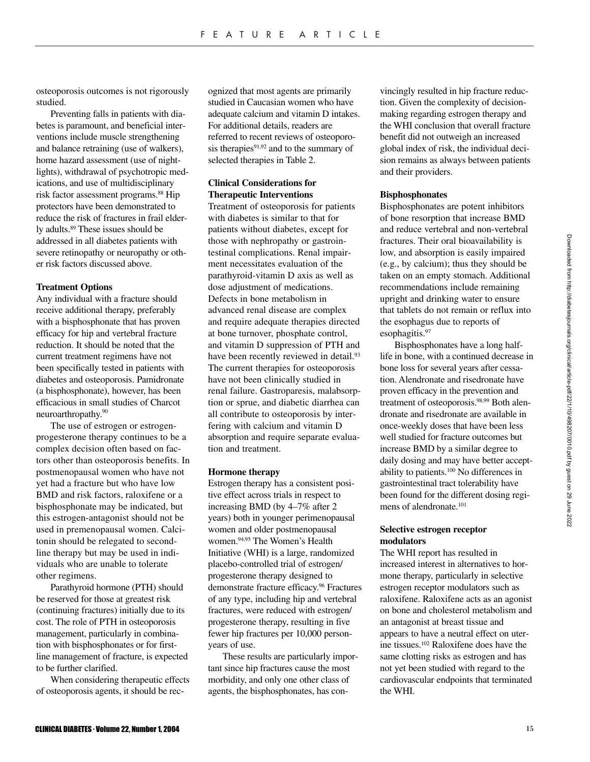osteoporosis outcomes is not rigorously studied.

Preventing falls in patients with diabetes is paramount, and beneficial interventions include muscle strengthening and balance retraining (use of walkers), home hazard assessment (use of nightlights), withdrawal of psychotropic medications, and use of multidisciplinary risk factor assessment programs.88 Hip protectors have been demonstrated to reduce the risk of fractures in frail elderly adults.89 These issues should be addressed in all diabetes patients with severe retinopathy or neuropathy or other risk factors discussed above.

# **Treatment Options**

Any individual with a fracture should receive additional therapy, preferably with a bisphosphonate that has proven efficacy for hip and vertebral fracture reduction. It should be noted that the current treatment regimens have not been specifically tested in patients with diabetes and osteoporosis. Pamidronate (a bisphosphonate), however, has been efficacious in small studies of Charcot neuroarthropathy.90

The use of estrogen or estrogenprogesterone therapy continues to be a complex decision often based on factors other than osteoporosis benefits. In postmenopausal women who have not yet had a fracture but who have low BMD and risk factors, raloxifene or a bisphosphonate may be indicated, but this estrogen-antagonist should not be used in premenopausal women. Calcitonin should be relegated to secondline therapy but may be used in individuals who are unable to tolerate other regimens.

Parathyroid hormone (PTH) should be reserved for those at greatest risk (continuing fractures) initially due to its cost. The role of PTH in osteoporosis management, particularly in combination with bisphosphonates or for firstline management of fracture, is expected to be further clarified.

When considering therapeutic effects of osteoporosis agents, it should be recognized that most agents are primarily studied in Caucasian women who have adequate calcium and vitamin D intakes. For additional details, readers are referred to recent reviews of osteoporosis therapies<sup>91,92</sup> and to the summary of selected therapies in Table 2.

# **Clinical Considerations for Therapeutic Interventions**

Treatment of osteoporosis for patients with diabetes is similar to that for patients without diabetes, except for those with nephropathy or gastrointestinal complications. Renal impairment necessitates evaluation of the parathyroid-vitamin D axis as well as dose adjustment of medications. Defects in bone metabolism in advanced renal disease are complex and require adequate therapies directed at bone turnover, phosphate control, and vitamin D suppression of PTH and have been recently reviewed in detail.<sup>93</sup> The current therapies for osteoporosis have not been clinically studied in renal failure. Gastroparesis, malabsorption or sprue, and diabetic diarrhea can all contribute to osteoporosis by interfering with calcium and vitamin D absorption and require separate evaluation and treatment.

#### **Hormone therapy**

Estrogen therapy has a consistent positive effect across trials in respect to increasing BMD (by 4–7% after 2 years) both in younger perimenopausal women and older postmenopausal women.94,95 The Women's Health Initiative (WHI) is a large, randomized placebo-controlled trial of estrogen/ progesterone therapy designed to demonstrate fracture efficacy.<sup>96</sup> Fractures of any type, including hip and vertebral fractures, were reduced with estrogen/ progesterone therapy, resulting in five fewer hip fractures per 10,000 personyears of use.

These results are particularly important since hip fractures cause the most morbidity, and only one other class of agents, the bisphosphonates, has convincingly resulted in hip fracture reduction. Given the complexity of decisionmaking regarding estrogen therapy and the WHI conclusion that overall fracture benefit did not outweigh an increased global index of risk, the individual decision remains as always between patients and their providers.

## **Bisphosphonates**

Bisphosphonates are potent inhibitors of bone resorption that increase BMD and reduce vertebral and non-vertebral fractures. Their oral bioavailability is low, and absorption is easily impaired (e.g., by calcium); thus they should be taken on an empty stomach. Additional recommendations include remaining upright and drinking water to ensure that tablets do not remain or reflux into the esophagus due to reports of esophagitis.<sup>97</sup>

Bisphosphonates have a long halflife in bone, with a continued decrease in bone loss for several years after cessation. Alendronate and risedronate have proven efficacy in the prevention and treatment of osteoporosis.<sup>98,99</sup> Both alendronate and risedronate are available in once-weekly doses that have been less well studied for fracture outcomes but increase BMD by a similar degree to daily dosing and may have better acceptability to patients.100 No differences in gastrointestinal tract tolerability have been found for the different dosing regimens of alendronate.101

# **Selective estrogen receptor modulators**

The WHI report has resulted in increased interest in alternatives to hormone therapy, particularly in selective estrogen receptor modulators such as raloxifene. Raloxifene acts as an agonist on bone and cholesterol metabolism and an antagonist at breast tissue and appears to have a neutral effect on uterine tissues.102 Raloxifene does have the same clotting risks as estrogen and has not yet been studied with regard to the cardiovascular endpoints that terminated the WHI.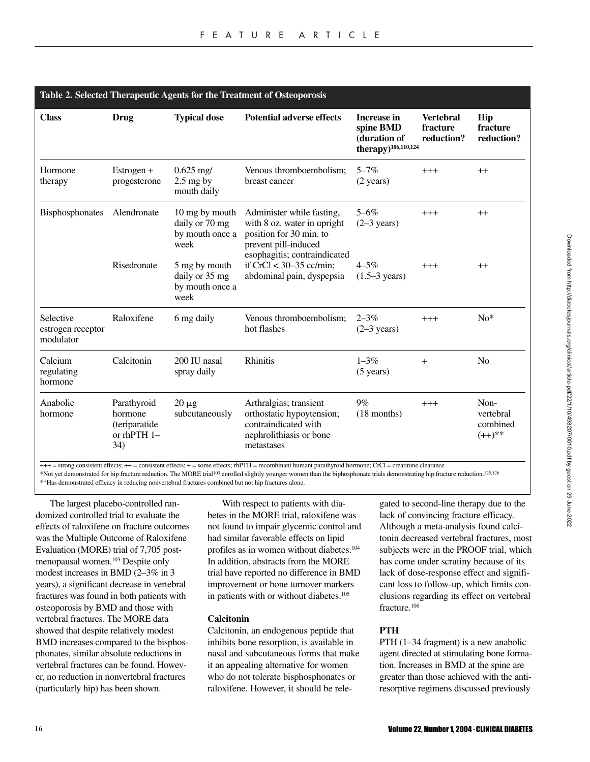| Table 2. Selected Therapeutic Agents for the Treatment of Osteoporosis |                                                               |                                                             |                                                                                                                                             |                                                                                    |                                            |                                            |
|------------------------------------------------------------------------|---------------------------------------------------------------|-------------------------------------------------------------|---------------------------------------------------------------------------------------------------------------------------------------------|------------------------------------------------------------------------------------|--------------------------------------------|--------------------------------------------|
| <b>Class</b>                                                           | Drug                                                          | <b>Typical dose</b>                                         | <b>Potential adverse effects</b>                                                                                                            | <b>Increase in</b><br>spine BMD<br>(duration of<br>therapy) <sup>106,110,124</sup> | <b>Vertebral</b><br>fracture<br>reduction? | Hip<br>fracture<br>reduction?              |
| Hormone<br>therapy                                                     | Estrogen +<br>progesterone                                    | $0.625$ mg/<br>$2.5$ mg by<br>mouth daily                   | Venous thromboembolism;<br>breast cancer                                                                                                    | $5 - 7\%$<br>$(2 \text{ years})$                                                   | $^{+++}$                                   | $++$                                       |
| Bisphosphonates                                                        | Alendronate                                                   | 10 mg by mouth<br>daily or 70 mg<br>by mouth once a<br>week | Administer while fasting,<br>with 8 oz. water in upright<br>position for 30 min. to<br>prevent pill-induced<br>esophagitis; contraindicated | $5 - 6\%$<br>$(2-3 \text{ years})$                                                 | $^{+++}$                                   | $++$                                       |
|                                                                        | Risedronate                                                   | 5 mg by mouth<br>daily or 35 mg<br>by mouth once a<br>week  | if $CrCl < 30-35$ cc/min;<br>abdominal pain, dyspepsia                                                                                      | $4 - 5\%$<br>$(1.5-3 \text{ years})$                                               | $^{+++}$                                   | $^{++}$                                    |
| Selective<br>estrogen receptor<br>modulator                            | Raloxifene                                                    | 6 mg daily                                                  | Venous thromboembolism;<br>hot flashes                                                                                                      | $2 - 3\%$<br>$(2-3$ years)                                                         | $^{+++}$                                   | $No*$                                      |
| Calcium<br>regulating<br>hormone                                       | Calcitonin                                                    | 200 IU nasal<br>spray daily                                 | Rhinitis                                                                                                                                    | $1 - 3\%$<br>$(5 \text{ years})$                                                   | $+$                                        | N <sub>0</sub>                             |
| Anabolic<br>hormone                                                    | Parathyroid<br>hormone<br>(teriparatide<br>or rhPTH 1-<br>34) | $20 \mu g$<br>subcutaneously                                | Arthralgias; transient<br>orthostatic hypoytension;<br>contraindicated with<br>nephrolithiasis or bone<br>metastases                        | 9%<br>$(18$ months)                                                                | $+++$                                      | Non-<br>vertebral<br>combined<br>$(++)$ ** |

 $+++$  = strong consistent effects;  $++$  = consistent effects;  $+$  = some effects;  $\text{thPTH}$  = recombinant humant parathyroid hormone; CrCl = creatinine clearance

\*Not yet demonstrated for hip fracture reduction. The MORE trial103 enrolled slightly younger women than the biphosphonate trials demonstrating hip fracture reduction.125,126 \*\*Has demonstrated efficacy in reducing nonvertebral fractures combined but not hip fractures alone.

The largest placebo-controlled randomized controlled trial to evaluate the effects of raloxifene on fracture outcomes was the Multiple Outcome of Raloxifene Evaluation (MORE) trial of 7,705 postmenopausal women.103 Despite only modest increases in BMD (2–3% in 3 years), a significant decrease in vertebral fractures was found in both patients with osteoporosis by BMD and those with vertebral fractures. The MORE data showed that despite relatively modest BMD increases compared to the bisphosphonates, similar absolute reductions in vertebral fractures can be found. However, no reduction in nonvertebral fractures (particularly hip) has been shown.

With respect to patients with diabetes in the MORE trial, raloxifene was not found to impair glycemic control and had similar favorable effects on lipid profiles as in women without diabetes.104 In addition, abstracts from the MORE trial have reported no difference in BMD improvement or bone turnover markers in patients with or without diabetes.105

# **Calcitonin**

Calcitonin, an endogenous peptide that inhibits bone resorption, is available in nasal and subcutaneous forms that make it an appealing alternative for women who do not tolerate bisphosphonates or raloxifene. However, it should be relegated to second-line therapy due to the lack of convincing fracture efficacy. Although a meta-analysis found calcitonin decreased vertebral fractures, most subjects were in the PROOF trial, which has come under scrutiny because of its lack of dose-response effect and significant loss to follow-up, which limits conclusions regarding its effect on vertebral fracture.106

# **PTH**

PTH (1–34 fragment) is a new anabolic agent directed at stimulating bone formation. Increases in BMD at the spine are greater than those achieved with the antiresorptive regimens discussed previously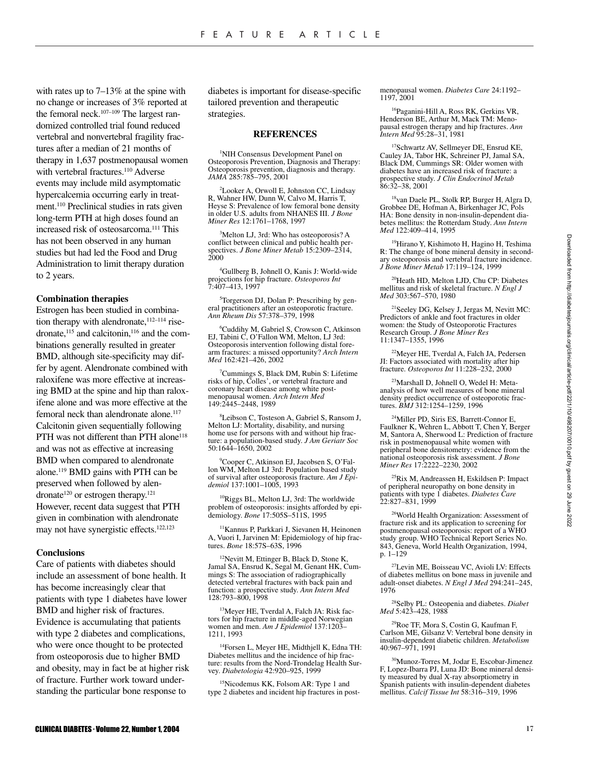with rates up to 7–13% at the spine with no change or increases of 3% reported at the femoral neck.<sup>107-109</sup> The largest randomized controlled trial found reduced vertebral and nonvertebral fragility fractures after a median of 21 months of therapy in 1,637 postmenopausal women with vertebral fractures.<sup>110</sup> Adverse events may include mild asymptomatic hypercalcemia occurring early in treatment.110 Preclinical studies in rats given long-term PTH at high doses found an increased risk of osteosarcoma.111 This has not been observed in any human studies but had led the Food and Drug Administration to limit therapy duration to 2 years.

#### **Combination therapies**

Estrogen has been studied in combination therapy with alendronate, 112-114 risedronate,<sup>115</sup> and calcitonin,<sup>116</sup> and the combinations generally resulted in greater BMD, although site-specificity may differ by agent. Alendronate combined with raloxifene was more effective at increasing BMD at the spine and hip than raloxifene alone and was more effective at the femoral neck than alendronate alone.<sup>117</sup> Calcitonin given sequentially following PTH was not different than PTH alone<sup>118</sup> and was not as effective at increasing BMD when compared to alendronate alone.119 BMD gains with PTH can be preserved when followed by alendronate<sup>120</sup> or estrogen therapy.<sup>121</sup> However, recent data suggest that PTH given in combination with alendronate may not have synergistic effects.122,123

#### **Conclusions**

Care of patients with diabetes should include an assessment of bone health. It has become increasingly clear that patients with type 1 diabetes have lower BMD and higher risk of fractures. Evidence is accumulating that patients with type 2 diabetes and complications, who were once thought to be protected from osteoporosis due to higher BMD and obesity, may in fact be at higher risk of fracture. Further work toward understanding the particular bone response to

diabetes is important for disease-specific tailored prevention and therapeutic strategies.

#### **REFERENCES**

<sup>1</sup>NIH Consensus Development Panel on Osteoporosis Prevention, Diagnosis and Therapy: Osteoporosis prevention, diagnosis and therapy. *JAMA* 285:785–795, 2001

2 Looker A, Orwoll E, Johnston CC, Lindsay R, Wahner HW, Dunn W, Calvo M, Harris T, Heyse S: Prevalence of low femoral bone density in older U.S. adults from NHANES III. *J Bone Miner Res* 12:1761–1768, 1997

3 Melton LJ, 3rd: Who has osteoporosis? A conflict between clinical and public health perspectives. *J Bone Miner Metab* 15:2309–2314, 2000

4 Gullberg B, Johnell O, Kanis J: World-wide projections for hip fracture. *Osteoporos Int* 7:407–413, 1997

5 Torgerson DJ, Dolan P: Prescribing by general practitioners after an osteoporotic fracture. *Ann Rheum Dis* 57:378–379, 1998

6 Cuddihy M, Gabriel S, Crowson C, Atkinson EJ, Tabini C, O'Fallon WM, Melton, LJ 3rd: Osteoporosis intervention following distal forearm fractures: a missed opportunity? *Arch Intern Med* 162:421–426, 2002

7 Cummings S, Black DM, Rubin S: Lifetime risks of hip, Colles', or vertebral fracture and coronary heart disease among white postmenopausal women. *Arch Intern Med* 149:2445–2448, 1989

8 Leibson C, Tosteson A, Gabriel S, Ransom J, Melton LJ: Mortality, disability, and nursing home use for persons with and without hip fracture: a population-based study. *J Am Geriatr Soc* 50:1644–1650, 2002

9 Cooper C, Atkinson EJ, Jacobsen S, O'Fallon WM, Melton LJ 3rd: Population based study of survival after osteoporosis fracture. *Am J Epidemiol* 137:1001–1005, 1993

10Riggs BL, Melton LJ, 3rd: The worldwide problem of osteoporosis: insights afforded by epidemiology. *Bone* 17:505S–511S, 1995

11Kannus P, Parkkari J, Sievanen H, Heinonen A, Vuori I, Jarvinen M: Epidemiology of hip fractures. *Bone* 18:57S–63S, 1996

 $12$ Nevitt M, Ettinger B, Black D, Stone K, Jamal SA, Ensrud K, Segal M, Genant HK, Cummings S: The association of radiographically detected vertebral fractures with back pain and function: a prospective study. *Ann Intern Med* 128:793–800, 1998

13Meyer HE, Tverdal A, Falch JA: Risk factors for hip fracture in middle-aged Norwegian women and men. *Am J Epidemiol* 137:1203– 1211, 1993

14Forsen L, Meyer HE, Midthjell K, Edna TH: Diabetes mellitus and the incidence of hip fracture: results from the Nord-Trondelag Health Survey. *Diabetologia* 42:920–925, 1999

15Nicodemus KK, Folsom AR: Type 1 and type 2 diabetes and incident hip fractures in postmenopausal women. *Diabetes Care* 24:1192– 1197, 2001

16Paganini-Hill A, Ross RK, Gerkins VR, Henderson BE, Arthur M, Mack TM: Menopausal estrogen therapy and hip fractures. *Ann Intern Med* 95:28–31, 1981

17Schwartz AV, Sellmeyer DE, Ensrud KE, Cauley JA, Tabor HK, Schreiner PJ, Jamal SA, Black DM, Cummings SR: Older women with diabetes have an increased risk of fracture: a prospective study. *J Clin Endocrinol Metab* 86:32–38, 2001

<sup>18</sup>van Daele PL, Stolk RP, Burger H, Algra D, Grobbee DE, Hofman A, Birkenhager JC, Pols HA: Bone density in non-insulin-dependent diabetes mellitus: the Rotterdam Study. *Ann Intern Med* 122:409–414, 1995

19Hirano Y, Kishimoto H, Hagino H, Teshima R: The change of bone mineral density in secondary osteoporosis and vertebral fracture incidence. *J Bone Miner Metab* 17:119–124, 1999

20Heath HD, Melton LJD, Chu CP: Diabetes mellitus and risk of skeletal fracture. *N Engl J Med* 303:567–570, 1980

21Seeley DG, Kelsey J, Jergas M, Nevitt MC: Predictors of ankle and foot fractures in older women: the Study of Osteoporotic Fractures Research Group. *J Bone Miner Res* 11:1347–1355, 1996

22Meyer HE, Tverdal A, Falch JA, Pedersen JI: Factors associated with mortality after hip fracture. *Osteoporos Int* 11:228–232, 2000

<sup>23</sup>Marshall D, Johnell O, Wedel H: Metaanalysis of how well measures of bone mineral density predict occurrence of osteoporotic fractures. *BMJ* 312:1254–1259, 1996

24Miller PD, Siris ES, Barrett-Connor E, Faulkner K, Wehren L, Abbott T, Chen Y, Berger M, Santora A, Sherwood L: Prediction of fracture risk in postmenopausal white women with peripheral bone densitometry: evidence from the national osteoporosis risk assessment. *J Bone Miner Res* 17:2222–2230, 2002

25Rix M, Andreassen H, Eskildsen P: Impact of peripheral neuropathy on bone density in patients with type 1 diabetes. *Diabetes Care* 22:827–831, 1999

<sup>26</sup>World Health Organization: Assessment of fracture risk and its application to screening for postmenopausal osteoporosis: report of a WHO study group. WHO Technical Report Series No. 843, Geneva, World Health Organization, 1994, p. 1–129

27Levin ME, Boisseau VC, Avioli LV: Effects of diabetes mellitus on bone mass in juvenile and adult-onset diabetes. *N Engl J Med* 294:241–245, 1976

28Selby PL: Osteopenia and diabetes. *Diabet Med* 5:423–428, 1988

29Roe TF, Mora S, Costin G, Kaufman F, Carlson ME, Gilsanz V: Vertebral bone density in insulin-dependent diabetic children. *Metabolism* 40:967–971, 1991

30Munoz-Torres M, Jodar E, Escobar-Jimenez F, Lopez-Ibarra PJ, Luna JD: Bone mineral density measured by dual X-ray absorptiometry in Spanish patients with insulin-dependent diabetes mellitus. *Calcif Tissue Int* 58:316–319, 1996

Downloaded from http://diabetesjournals.org/clinical/article-pdf/22/1/10/498207/0010.pdf by guest on 29 June 2022 Downloaded from http://diabetesjournals.org/clinical/article-pdf/22/1/10/498207/0010.pdf by guest on 29 June 2022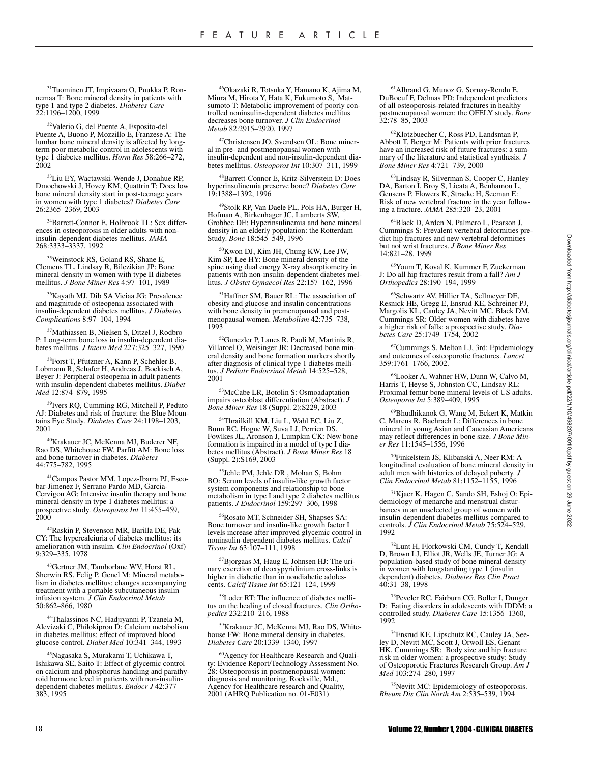31Tuominen JT, Impivaara O, Puukka P, Ronnemaa T: Bone mineral density in patients with type 1 and type 2 diabetes. *Diabetes Care* 22:1196–1200, 1999

32Valerio G, del Puente A, Esposito-del Puente A, Buono P, Mozzillo E, Franzese A: The lumbar bone mineral density is affected by longterm poor metabolic control in adolescents with type 1 diabetes mellitus. *Horm Res* 58:266–272, 2002

33Liu EY, Wactawski-Wende J, Donahue RP, Dmochowski J, Hovey KM, Quattrin T: Does low bone mineral density start in post-teenage years in women with type 1 diabetes? *Diabetes Care* 26:2365–2369, 2003

34Barrett-Connor E, Holbrook TL: Sex differences in osteoporosis in older adults with noninsulin-dependent diabetes mellitus. *JAMA* 268:3333–3337, 1992

35Weinstock RS, Goland RS, Shane E, Clemens TL, Lindsay R, Bilezikian JP: Bone mineral density in women with type II diabetes mellitus. *J Bone Miner Res* 4:97–101, 1989

<sup>36</sup>Kayath MJ, Dib SA Vieiaa JG: Prevalence and magnitude of osteopenia associated with insulin-dependent diabetes mellitus. *J Diabetes Complications* 8:97–104, 1994

37Mathiassen B, Nielsen S, Ditzel J, Rodbro P: Long-term bone loss in insulin-dependent diabetes mellitus. *J Intern Med* 227:325–327, 1990

38Forst T, Pfutzner A, Kann P, Schehler B, Lobmann R, Schafer H, Andreas J, Bockisch A, Beyer J: Peripheral osteopenia in adult patients with insulin-dependent diabetes mellitus. *Diabet Med* 12:874–879, 1995

39Ivers RQ, Cumming RG, Mitchell P, Peduto AJ: Diabetes and risk of fracture: the Blue Mountains Eye Study. *Diabetes Care* 24:1198–1203, 2001

40Krakauer JC, McKenna MJ, Buderer NF, Rao DS, Whitehouse FW, Parfitt AM: Bone loss and bone turnover in diabetes. *Diabetes* 44:775–782, 1995

41Campos Pastor MM, Lopez-Ibarra PJ, Escobar-Jimenez F, Serrano Pardo MD, Garcia-Cervigon AG: Intensive insulin therapy and bone mineral density in type 1 diabetes mellitus: a prospective study. *Osteoporos Int* 11:455–459, 2000

42Raskin P, Stevenson MR, Barilla DE, Pak CY: The hypercalciuria of diabetes mellitus: its amelioration with insulin. *Clin Endocrinol* (Oxf) 9:329–335, 1978

43Gertner JM, Tamborlane WV, Horst RL, Sherwin RS, Felig P, Genel M: Mineral metabolism in diabetes mellitus: changes accompanying treatment with a portable subcutaneous insulin infusion system. *J Clin Endocrinol Metab* 50:862–866, 1980

44Thalassinos NC, Hadjiyanni P, Tzanela M, Alevizaki C, Philokiprou D: Calcium metabolism in diabetes mellitus: effect of improved blood glucose control. *Diabet Med* 10:341–344, 1993

45Nagasaka S, Murakami T, Uchikawa T, Ishikawa SE, Saito T: Effect of glycemic control on calcium and phosphorus handling and parathyroid hormone level in patients with non-insulindependent diabetes mellitus. *Endocr J* 42:377– 383, 1995

46Okazaki R, Totsuka Y, Hamano K, Ajima M, Miura M, Hirota Y, Hata K, Fukumoto S, Matsumoto T: Metabolic improvement of poorly controlled noninsulin-dependent diabetes mellitus decreases bone turnover. *J Clin Endocrinol Metab* 82:2915–2920, 1997

47Christensen JO, Svendsen OL: Bone mineral in pre- and postmenopausal women with insulin-dependent and non-insulin-dependent diabetes mellitus. *Osteoporos Int* 10:307–311, 1999

48Barrett-Connor E, Kritz-Silverstein D: Does hyperinsulinemia preserve bone? *Diabetes Care* 19:1388–1392, 1996

49Stolk RP, Van Daele PL, Pols HA, Burger H, Hofman A, Birkenhager JC, Lamberts SW, Grobbee DE: Hyperinsulinemia and bone mineral density in an elderly population: the Rotterdam Study. *Bone* 18:545–549, 1996

50Kwon DJ, Kim JH, Chung KW, Lee JW, Kim SP, Lee HY: Bone mineral density of the spine using dual energy X-ray absorptiometry in patients with non-insulin-dependent diabetes mellitus. *J Obstet Gynaecol Res* 22:157–162, 1996

<sup>51</sup>Haffner SM, Bauer RL: The association of obesity and glucose and insulin concentrations with bone density in premenopausal and postmenopausal women. *Metabolism* 42:735–738, 1993

52Gunczler P, Lanes R, Paoli M, Martinis R, Villaroel O, Weisinger JR: Decreased bone mineral density and bone formation markers shortly after diagnosis of clinical type 1 diabetes mellitus. *J Pediatr Endocrinol Metab* 14:525–528, 2001

53McCabe LR, Botolin S: Osmoadaptation impairs osteoblast differentiation (Abstract). *J Bone Miner Res* 18 (Suppl. 2):S229, 2003

54Thrailkill KM, Liu L, Wahl EC, Liu Z, Bunn RC, Hogue W, Suva LJ, Perrien DS, Fowlkes JL, Aronson J, Lumpkin CK: New bone formation is impaired in a model of type I diabetes mellitus (Abstract). *J Bone Miner Res* 18 (Suppl. 2):S169, 2003

55Jehle PM, Jehle DR , Mohan S, Bohm BO: Serum levels of insulin-like growth factor system components and relationship to bone metabolism in type I and type 2 diabetes mellitus patients. *J Endocrinol* 159:297–306, 1998

56Rosato MT, Schneider SH, Shapses SA: Bone turnover and insulin-like growth factor I levels increase after improved glycemic control in noninsulin-dependent diabetes mellitus. *Calcif Tissue Int* 63:107–111, 1998

57Bjorgaas M, Haug E, Johnsen HJ: The urinary excretion of deoxypyridinium cross-links is higher in diabetic than in nondiabetic adolescents. *Calcif Tissue Int* 65:121–124, 1999

58Loder RT: The influence of diabetes mellitus on the healing of closed fractures. *Clin Orthopedics* 232:210–216, 1988

59Krakauer JC, McKenna MJ, Rao DS, Whitehouse FW: Bone mineral density in diabetes. *Diabetes Care* 20:1339–1340, 1997

60Agency for Healthcare Research and Quality: Evidence Report/Technology Assessment No. 28: Osteoporosis in postmenopausal women: diagnosis and monitoring. Rockville, Md., Agency for Healthcare research and Quality, 2001 (AHRQ Publication no. 01-E031)

61Albrand G, Munoz G, Sornay-Rendu E, DuBoeuf F, Delmas PD: Independent predictors of all osteoporosis-related fractures in healthy postmenopausal women: the OFELY study. *Bone* 32:78–85, 2003

62Klotzbuecher C, Ross PD, Landsman P, Abbott T, Berger M: Patients with prior fractures have an increased risk of future fractures: a summary of the literature and statistical synthesis. *J Bone Miner Res* 4:721–739, 2000

63Lindsay R, Silverman S, Cooper C, Hanley DA, Barton I, Broy S, Licata A, Benhamou L, Geusens P, Flowers K, Stracke H, Seeman E: Risk of new vertebral fracture in the year following a fracture. *JAMA* 285:320–23, 2001

64Black D, Arden N, Palmero L, Pearson J, Cummings S: Prevalent vertebral deformities predict hip fractures and new vertebral deformities but not wrist fractures. *J Bone Miner Res* 14:821–28, 1999

65Youm T, Koval K, Kummer F, Zuckerman J: Do all hip fractures result from a fall? *Am J Orthopedics* 28:190–194, 1999

66Schwartz AV, Hillier TA, Sellmeyer DE, Resnick HE, Gregg E, Ensrud KE, Schreiner PJ, Margolis KL, Cauley JA, Nevitt MC, Black DM, Cummings SR: Older women with diabetes have a higher risk of falls: a prospective study. *Diabetes Care* 25:1749–1754, 2002

67Cummings S, Melton LJ, 3rd: Epidemiology and outcomes of osteoporotic fractures. *Lancet* 359:1761–1766, 2002.

68Looker A, Wahner HW, Dunn W, Calvo M, Harris T, Heyse S, Johnston CC, Lindsay RL: Proximal femur bone mineral levels of US adults. *Osteoporos Int* 5:389–409, 1995

69Bhudhikanok G, Wang M, Eckert K, Matkin C, Marcus R, Bachrach L: Differences in bone mineral in young Asian and Caucasian Americans may reflect differences in bone size. *J Bone Miner Res* 11:1545–1556, 1996

<sup>0</sup>Finkelstein JS, Klibanski A, Neer RM: A longitudinal evaluation of bone mineral density in adult men with histories of delayed puberty. *J Clin Endocrinol Metab* 81:1152–1155, 1996

71Kjaer K, Hagen C, Sando SH, Eshoj O: Epidemiology of menarche and menstrual disturbances in an unselected group of women with insulin-dependent diabetes mellitus compared to controls. *J Clin Endocrinol Metab* 75:524–529, 1992

72Lunt H, Florkowski CM, Cundy T, Kendall D, Brown LJ, Elliot JR, Wells JE, Turner JG: A population-based study of bone mineral density in women with longstanding type 1 (insulin dependent) diabetes. *Diabetes Res Clin Pract* 40:31–38, 1998

73Peveler RC, Fairburn CG, Boller I, Dunger D: Eating disorders in adolescents with IDDM: a controlled study. *Diabetes Care* 15:1356–1360, 1992

<sup>74</sup>Ensrud KE, Lipschutz RC, Cauley JA, Seeley D, Nevitt MC, Scott J, Orwoll ES, Genant HK, Cummings SR: Body size and hip fracture risk in older women: a prospective study: Study of Osteoporotic Fractures Research Group. *Am J Med* 103:274–280, 1997

75Nevitt MC: Epidemiology of osteoporosis. *Rheum Dis Clin North Am* 2:535–539, 1994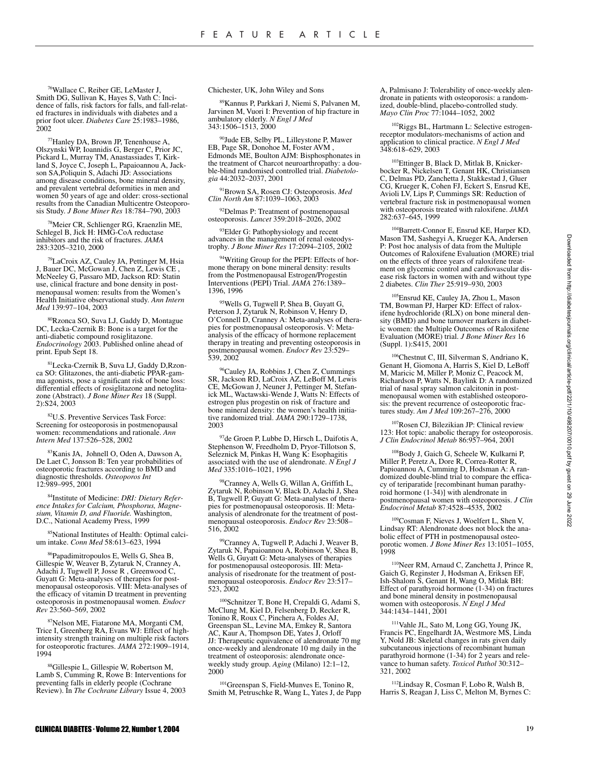76Wallace C, Reiber GE, LeMaster J, Smith DG, Sullivan K, Hayes S, Vath C: Incidence of falls, risk factors for falls, and fall-related fractures in individuals with diabetes and a prior foot ulcer. *Diabetes Care* 25:1983–1986, 2002

77Hanley DA, Brown JP, Tenenhouse A, Olszynski WP, Ioannidis G, Berger C, Prior JC, Pickard L, Murray TM, Anastassiades T, Kirkland S, Joyce C, Joseph L, Papaioannou A, Jackson SA,Poliquin S, Adachi JD: Associations among disease conditions, bone mineral density, and prevalent vertebral deformities in men and women 50 years of age and older: cross-sectional results from the Canadian Multicentre Osteoporosis Study. *J Bone Miner Res* 18:784–790, 2003

78Meier CR, Schlienger RG, Kraenzlin ME, Schlegel B, Jick H: HMG-CoA reductase inhibitors and the risk of fractures. *JAMA* 283:3205–3210, 2000

79LaCroix AZ, Cauley JA, Pettinger M, Hsia J, Bauer DC, McGowan J, Chen Z, Lewis CE , McNeeley G, Passaro MD, Jackson RD: Statin use, clinical fracture and bone density in postmenopausal women: results from the Women's Health Initiative observational study. *Ann Intern Med* 139:97–104, 2003

Rzonca SO, Suva LJ, Gaddy D, Montague DC, Lecka-Czernik B: Bone is a target for the anti-diabetic compound rosiglitazone. *Endocrinology* 2003. Published online ahead of print. Epub Sept 18.

81Lecka-Czernik B, Suva LJ, Gaddy D,Rzonca SO: Glitazones, the anti-diabetic PPAR-gamma agonists, pose a significant risk of bone loss: differential effects of rosiglitazone and netoglitazone (Abstract). *J Bone Miner Res* 18 (Suppl. 2):S24, 2003

82U.S. Preventive Services Task Force: Screening for osteoporosis in postmenopausal women: recommendations and rationale. *Ann Intern Med* 137:526–528, 2002

83Kanis JA, Johnell O, Oden A, Dawson A, De Laet C, Jonsson B: Ten year probabilities of osteoporotic fractures according to BMD and diagnostic thresholds. *Osteoporos Int* 12:989–995, 2001

84Institute of Medicine: *DRI: Dietary Reference Intakes for Calcium, Phosphorus, Magnesium, Vitamin D, and Fluoride.* Washington, D.C., National Academy Press, 1999

<sup>5</sup>National Institutes of Health: Optimal calcium intake. *Conn Med* 58:613–623, 1994

86Papadimitropoulos E, Wells G, Shea B, Gillespie W, Weaver B, Zytaruk N, Cranney A, Adachi J, Tugwell P, Josse R , Greenwood C, Guyatt G: Meta-analyses of therapies for postmenopausal osteoporosis. VIII: Meta-analyses of the efficacy of vitamin D treatment in preventing osteoporosis in postmenopausal women. *Endocr Rev* 23:560–569, 2002

87Nelson ME, Fiatarone MA, Morganti CM, Trice I, Greenberg RA, Evans WJ: Effect of highintensity strength training on multiple risk factors for osteoporotic fractures. *JAMA* 272:1909–1914, 1994

88Gillespie L, Gillespie W, Robertson M, Lamb S, Cumming R, Rowe B: Interventions for preventing falls in elderly people (Cochrane Review). In *The Cochrane Library* Issue 4, 2003 Chichester, UK, John Wiley and Sons

89Kannus P, Parkkari J, Niemi S, Palvanen M, Jarvinen M, Vuori I: Prevention of hip fracture in ambulatory elderly. *N Engl J Med* 343:1506–1513, 2000

90Jude EB, Selby PL, Lilleystone P, Mawer EB, Page SR, Donohoe M, Foster AVM , Edmonds ME, Boulton AJM: Bisphosphonates in the treatment of Charcot neuroarthropathy: a double-blind randomised controlled trial. *Diabetologia* 44:2032–2037, 2001

91Brown SA, Rosen CJ: Osteoporosis. *Med Clin North Am* 87:1039–1063, 2003

92Delmas P: Treatment of postmenopausal osteoporosis. *Lancet* 359:2018–2026, 2002

<sup>93</sup>Elder G: Pathophysiology and recent advances in the management of renal osteodys-trophy. *J Bone Miner Res* 17:2094–2105, 2002

94Writing Group for the PEPI: Effects of hormone therapy on bone mineral density: results from the Postmenopausal Estrogen/Progestin Interventions (PEPI) Trial. *JAMA* 276:1389– 1396, 1996

<sup>95</sup>Wells G, Tugwell P, Shea B, Guyatt G, Peterson J, Zytaruk N, Robinson V, Henry D, O'Connell D, Cranney A: Meta-analyses of therapies for postmenopausal osteoporosis. V: Metaanalysis of the efficacy of hormone replacement therapy in treating and preventing osteoporosis in postmenopausal women. *Endocr Rev* 23:529– 539, 2002

<sup>96</sup>Cauley JA, Robbins J, Chen Z, Cummings SR, Jackson RD, LaCroix AZ, LeBoff M, Lewis CE, McGowan J, Neuner J, Pettinger M, Stefanick ML, Wactawski-Wende J, Watts N: Effects of estrogen plus progestin on risk of fracture and bone mineral density: the women's health initia-tive randomized trial. *JAMA* 290:1729–1738, 2003

97de Groen P, Lubbe D, Hirsch L, Daifotis A, Stephenson W, Freedholm D, Pryor-Tillotson S, Seleznick M, Pinkas H, Wang K: Esophagitis associated with the use of alendronate. *N Engl J Med* 335:1016–1021, 1996

<sup>8</sup>Cranney A, Wells G, Willan A, Griffith L, Zytaruk N, Robinson V, Black D, Adachi J, Shea B, Tugwell P, Guyatt G: Meta-analyses of therapies for postmenopausal osteoporosis. II: Metaanalysis of alendronate for the treatment of postmenopausal osteoporosis. *Endocr Rev* 23:508– 516, 2002

99Cranney A, Tugwell P, Adachi J, Weaver B, Zytaruk N, Papaioannou A, Robinson V, Shea B, Wells G, Guyatt G: Meta-analyses of therapies for postmenopausal osteoporosis. III: Metaanalysis of risedronate for the treatment of postmenopausal osteoporosis. *Endocr Rev* 23:517– 523, 2002

100Schnitzer T, Bone H, Crepaldi G, Adami S, McClung M, Kiel D, Felsenberg D, Recker R, Tonino R, Roux C, Pinchera A, Foldes AJ, Greenspan SL, Levine MA, Emkey R, Santora AC, Kaur A, Thompson DE, Yates J, Orloff JJ: Therapeutic equivalence of alendronate 70 mg once-weekly and alendronate 10 mg daily in the treatment of osteoporosis: alendronate onceweekly study group. *Aging* (Milano) 12:1–12, 2000

<sup>101</sup>Greenspan S, Field-Munves E, Tonino R, Smith M, Petruschke R, Wang L, Yates J, de Papp A, Palmisano J: Tolerability of once-weekly alendronate in patients with osteoporosis: a randomized, double-blind, placebo-controlled study. *Mayo Clin Proc* 77:1044–1052, 2002

102Riggs BL, Hartmann L: Selective estrogenreceptor modulators-mechanisms of action and application to clinical practice. *N Engl J Med* 348:618–629, 2003

<sup>103</sup>Ettinger B, Black D, Mitlak B, Knickerbocker R, Nickelsen T, Genant HK, Christiansen C, Delmas PD, Zanchetta J, Stakkestad J, Gluer CG, Krueger K, Cohen FJ, Eckert S, Ensrud KE, Avioli LV, Lips P, Cummings SR: Reduction of vertebral fracture risk in postmenopausal women with osteoporosis treated with raloxifene. *JAMA* 282:637–645, 1999

<sup>104</sup>Barrett-Connor E, Ensrud KE, Harper KD, Mason TM, Sashegyi A, Krueger KA, Andersen P: Post hoc analysis of data from the Multiple Outcomes of Raloxifene Evaluation (MORE) trial on the effects of three years of raloxifene treatment on glycemic control and cardiovascular disease risk factors in women with and without type 2 diabetes. *Clin Ther* 25:919–930, 2003

105Ensrud KE, Cauley JA, Zhou L, Mason TM, Bowman PJ, Harper KD: Effect of raloxifene hydrochloride (RLX) on bone mineral density (BMD) and bone turnover markers in diabetic women: the Multiple Outcomes of Raloxifene Evaluation (MORE) trial. *J Bone Miner Res* 16 (Suppl. 1):S415, 2001

106Chestnut C, III, Silverman S, Andriano K, Genant H, Giomona A, Harris S, Kiel D, LeBoff M, Maricic M, Miller P, Moniz C, Peacock M, Richardson P, Watts N, Baylink D: A randomized trial of nasal spray salmon calcitonin in postmenopausal women with established osteoporosis: the prevent recurrence of osteoporotic fractures study. *Am J Med* 109:267–276, 2000

107Rosen CJ, Bilezikian JP: Clinical review 123: Hot topic: anabolic therapy for osteoporosis. *J Clin Endocrinol Metab* 86:957–964, 2001

108Body J, Gaich G, Scheele W, Kulkarni P, Miller P, Peretz A, Dore R, Correa-Rotter R, Papioannou A, Cumming D, Hodsman A: A randomized double-blind trial to compare the efficacy of teriparatide [recombinant human parathyroid hormone  $(1-34)$ ] with alendronate in postmenopausal women with osteoporosis. *J Clin Endocrinol Metab* 87:4528–4535, 2002

109Cosman F, Nieves J, Woelfert L, Shen V, Lindsay RT: Alendronate does not block the anabolic effect of PTH in postmenopausal osteoporotic women. *J Bone Miner Res* 13:1051–1055, 1998

110Neer RM, Arnaud C, Zanchetta J, Prince R, Gaich G, Reginster J, Hodsman A, Eriksen EF, Ish-Shalom S, Genant H, Wang O, Mitlak BH: Effect of parathyroid hormone (1-34) on fractures and bone mineral density in postmenopausal women with osteoporosis. *N Engl J Med* 344:1434–1441, 2001

111Vahle JL, Sato M, Long GG, Young JK, Francis PC, Engelhardt JA, Westmore MS, Linda Y, Nold JB: Skeletal changes in rats given daily subcutaneous injections of recombinant human parathyroid hormone (1-34) for 2 years and relevance to human safety. *Toxicol Pathol* 30:312– 321, 2002

112Lindsay R, Cosman F, Lobo R, Walsh B, Harris S, Reagan J, Liss C, Melton M, Byrnes C: